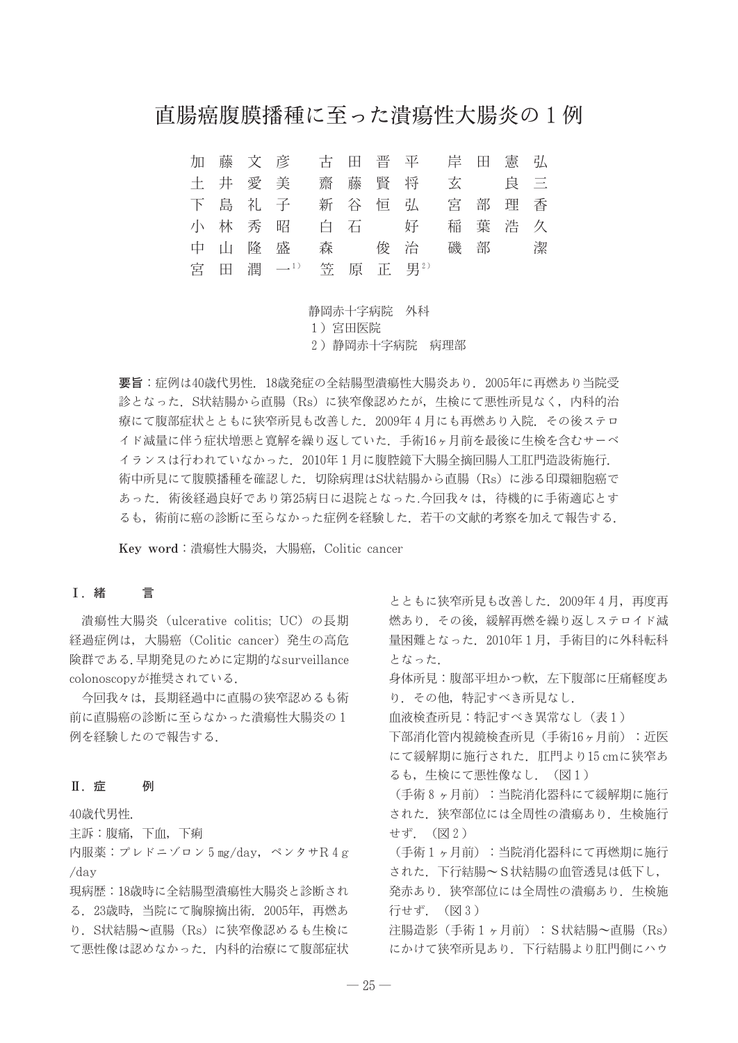## 直腸癌腹膜播種に至った潰瘍性大腸炎の1例

古田晋平 加藤文彦 岸田憲弘 土井愛美  $\equiv$ 齋藤賢将 玄 良 下島礼子 新 谷 恒 弘 宮部理香 小林秀昭 白 石 奷 葉 浩 久 稲 磯 部 中 山 降 盛 森 俊 治 潔 宮 田 潤 一1) 等 原 正 男2)

> 静岡赤十字病院 外科 1) 宮田医院 2) 静岡赤十字病院 病理部

要旨:症例は40歳代男性. 18歳発症の全結腸型潰瘍性大腸炎あり. 2005年に再燃あり当院受 診となった. S状結腸から直腸 (Rs) に狭窄像認めたが、生検にて悪性所見なく、内科的治 療にて腹部症状とともに狭窄所見も改善した. 2009年4月にも再燃あり入院. その後ステロ イド減量に伴う症状増悪と寛解を繰り返していた. 手術16ヶ月前を最後に生検を含むサーベ イランスは行われていなかった. 2010年1月に腹腔鏡下大腸全摘回腸人工肛門造設術施行. 術中所見にて腹膜播種を確認した. 切除病理はS状結腸から直腸 (Rs) に渉る印環細胞癌で あった. 術後経過良好であり第25病日に退院となった.今回我々は、待機的に手術適応とす るも、術前に癌の診断に至らなかった症例を経験した. 若干の文献的考察を加えて報告する.

Key word: 潰瘍性大腸炎, 大腸癌, Colitic cancer

#### **I**. 緒 言

潰瘍性大腸炎 (ulcerative colitis; UC) の長期 経過症例は、大腸癌 (Colitic cancer) 発生の高危 険群である. 早期発見のために定期的なsurveillance colonoscopyが推奨されている.

今回我々は、長期経過中に直腸の狭窄認めるも術 前に直腸癌の診断に至らなかった潰瘍性大腸炎の1 例を経験したので報告する.

#### Ⅱ. 症 例

40歳代男性.

主訴:腹痛, 下血, 下痢

内服薬:プレドニゾロン 5 mg/day, ペンタサR 4 g  $/day$ 

現病歴:18歳時に全結腸型潰瘍性大腸炎と診断され る. 23歳時, 当院にて胸腺摘出術. 2005年, 再燃あ り. S状結腸~直腸 (Rs) に狭窄像認めるも生検に て悪性像は認めなかった、内科的治療にて腹部症状

とともに狭窄所見も改善した. 2009年4月、再度再 燃あり. その後、緩解再燃を繰り返しステロイド減 量困難となった. 2010年1月、手術目的に外科転科 となった.

身体所見:腹部平坦かつ軟、左下腹部に圧痛軽度あ り. その他, 特記すべき所見なし.

血液検査所見:特記すべき異常なし(表1)

下部消化管内視鏡検査所見 (手術16ヶ月前) : 近医 にて緩解期に施行された. 肛門より15 cmに狭窄あ るも、牛検にて悪性像なし. (図1)

(手術8ヶ月前):当院消化器科にて緩解期に施行 された、狭窄部位には全周性の潰瘍あり、生検施行 せず. (図2)

(手術1ヶ月前):当院消化器科にて再燃期に施行 された. 下行結腸~S状結腸の血管透見は低下し,

発赤あり、狭窄部位には全周性の潰瘍あり、生検施 行せず. (図3)

注腸造影 (手術 1 ヶ月前) : S状結腸~直腸 (Rs) にかけて狭窄所見あり、下行結腸より肛門側にハウ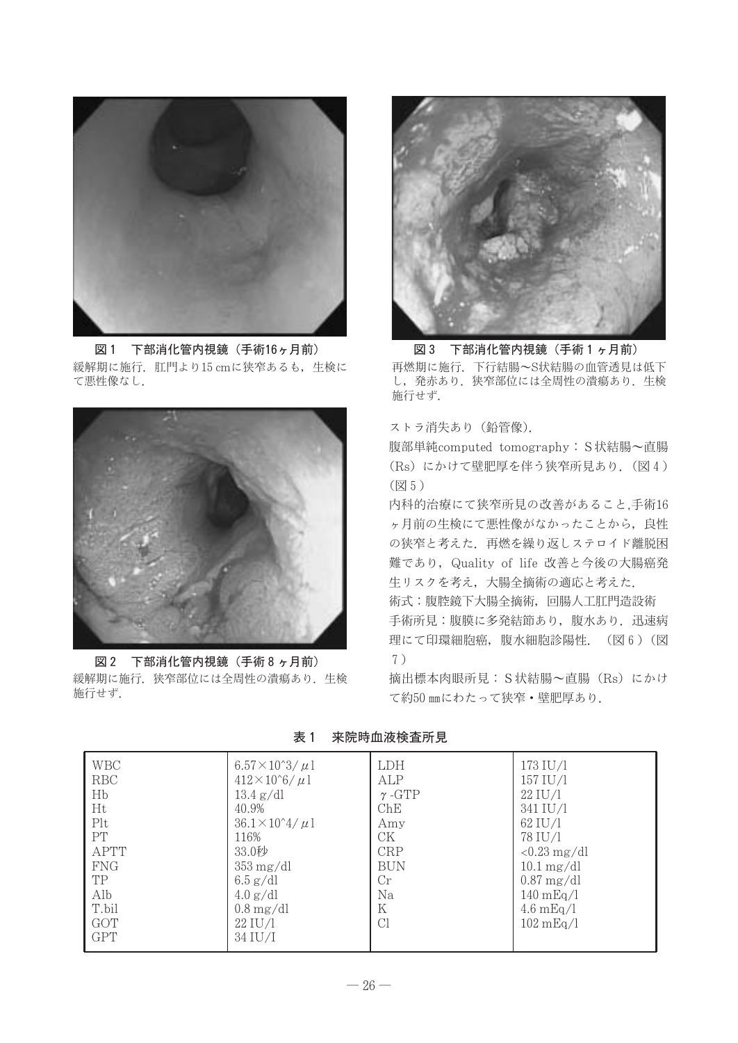

図1 下部消化管内視鏡 (手術16ヶ月前) 緩解期に施行. 肛門より15 cmに狭窄あるも、生検に て悪性像なし.



図2 下部消化管内視鏡 (手術8ヶ月前) 緩解期に施行. 狭窄部位には全周性の潰瘍あり. 生検 施行せず.



図 3 下部消化管内視鏡 (手術1ヶ月前) 再燃期に施行. 下行結腸~S状結腸の血管透見は低下 し、発赤あり. 狭窄部位には全周性の潰瘍あり. 生検 施行せず.

ストラ消失あり (鉛管像).

腹部単純computed tomography: S状結腸~直腸 (Rs) にかけて壁肥厚を伴う狭窄所見あり. (図4) (図5)

内科的治療にて狭窄所見の改善があること,手術16 ヶ月前の生検にて悪性像がなかったことから、良性 の狭窄と考えた、再燃を繰り返しステロイド離脱困 難であり、Quality of life 改善と今後の大腸癌発 生リスクを考え、大腸全摘術の適応と考えた. 術式:腹腔鏡下大腸全摘術,回腸人工肛門造設術 手術所見:腹膜に多発結節あり、腹水あり、迅速病 理にて印環細胞癌,腹水細胞診陽性. (図6) (図

 $7)$ 

摘出標本肉眼所見: S状結腸~直腸 (Rs) にかけ て約50 mmにわたって狭窄·壁肥厚あり.

表 1 来院時血液検査所見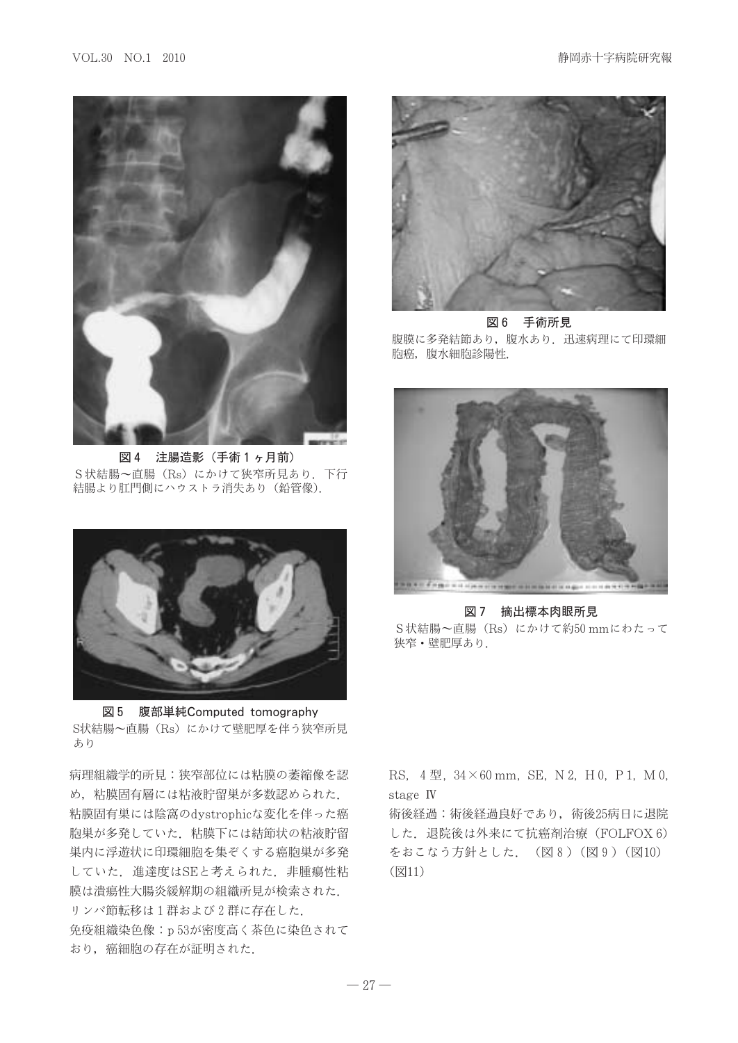

図4 注腸造影 (手術1ヶ月前) S状結腸~直腸 (Rs) にかけて狭窄所見あり. 下行 結腸より肛門側にハウストラ消失あり (鉛管像).



図 5 腹部単純Computed tomography S状結腸~直腸 (Rs) にかけて壁肥厚を伴う狭窄所見 あり

病理組織学的所見:狭窄部位には粘膜の萎縮像を認 め、粘膜固有層には粘液貯留巣が多数認められた. 粘膜固有巣には陰窩のdystrophicな変化を伴った癌 胞巣が多発していた、粘膜下には結節状の粘液貯留 巣内に浮遊状に印環細胞を集ぞくする癌胞巣が多発 していた. 進達度はSEと考えられた. 非腫瘍性粘 膜は潰瘍性大腸炎緩解期の組織所見が検索された. リンパ節転移は1群および2群に存在した. 免疫組織染色像: p53が密度高く茶色に染色されて おり、癌細胞の存在が証明された.



図6 手術所見 腹膜に多発結節あり、腹水あり、迅速病理にて印環細 胞癌,腹水細胞診陽性.



図 7 摘出標本肉眼所見 S状結腸~直腸 (Rs) にかけて約50 mmにわたって 狭窄・壁肥厚あり.

RS,  $4 \frac{m}{2}$ ,  $34 \times 60$  mm, SE, N 2, H 0, P 1, M 0, stage IV

術後経過:術後経過良好であり、術後25病日に退院 した. 退院後は外来にて抗癌剤治療 (FOLFOX 6) をおこなう方針とした. (図8) (図9) (図10) (図11)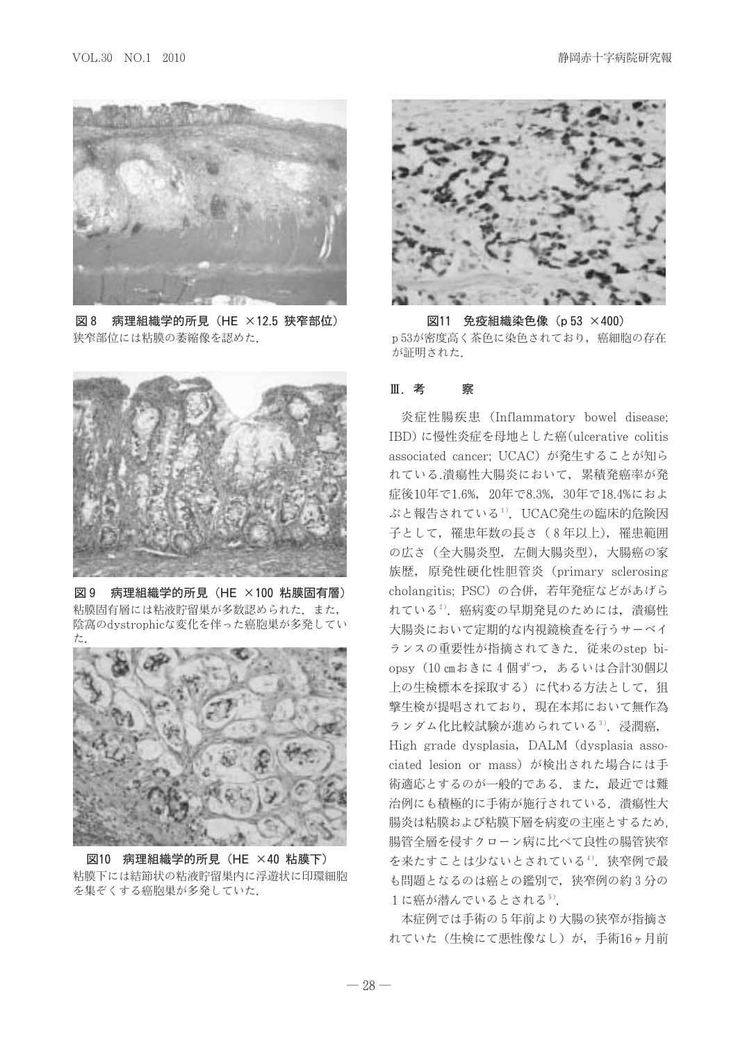

病理組織学的所見 (HE ×12.5 狭窄部位) |- | XI 8 狭窄部位には粘膜の萎縮像を認めた.



図 9 病理組織学的所見 (HE ×100 粘膜固有層) 粘膜固有層には粘液貯留巣が多数認められた. また, 陰窩のdystrophicな変化を伴った癌胞巣が多発してい



図10 病理組織学的所見 (HE ×40 粘膜下) 粘膜下には結節状の粘液貯留巣内に浮遊状に印環細胞 を集ぞくする癌胞巣が多発していた.



図11 免疫組織染色像 (p 53 ×400) p53が密度高く茶色に染色されており、 癌細胞の存在 が証明された.

#### Ⅲ者 察

炎症性腸疾患 (Inflammatory bowel disease: IBD)に慢性炎症を母地とした癌(ulcerative colitis associated cancer: UCAC) が発生することが知ら れている.潰瘍性大腸炎において、累積発癌率が発 症後10年で1.6%, 20年で8.3%, 30年で18.4%におよ ぶと報告されている1). UCAC発生の臨床的危険因 子として、罹患年数の長さ (8年以上), 罹患範囲 の広さ (全大腸炎型, 左側大腸炎型), 大腸癌の家 族歴, 原発性硬化性胆管炎 (primary sclerosing cholangitis: PSC)の合併、若年発症などがあげら れている2). 癌病変の早期発見のためには、潰瘍性 大腸炎において定期的な内視鏡検査を行うサーベイ ランスの重要性が指摘されてきた. 従来のstep biopsy (10 cmおきに4個ずつ, あるいは合計30個以 上の生検標本を採取する)に代わる方法として、狙 撃生検が提唱されており、現在本邦において無作為 ランダム化比較試験が進められている3). 浸潤癌, High grade dysplasia, DALM (dysplasia associated lesion or mass) が検出された場合には手 術適応とするのが一般的である。また、最近では難 治例にも積極的に手術が施行されている。潰瘍性大 腸炎は粘膜および粘膜下層を病変の主座とするため. 腸管全層を侵すクローン病に比べて良性の腸管狭窄 を来たすことは少ないとされている4). 狭窄例で最 も問題となるのは癌との鑑別で、狭窄例の約3分の 1に癌が潜んでいるとされる5).

本症例では手術の5年前より大腸の狭窄が指摘さ れていた(生検にて悪性像なし)が、手術16ヶ月前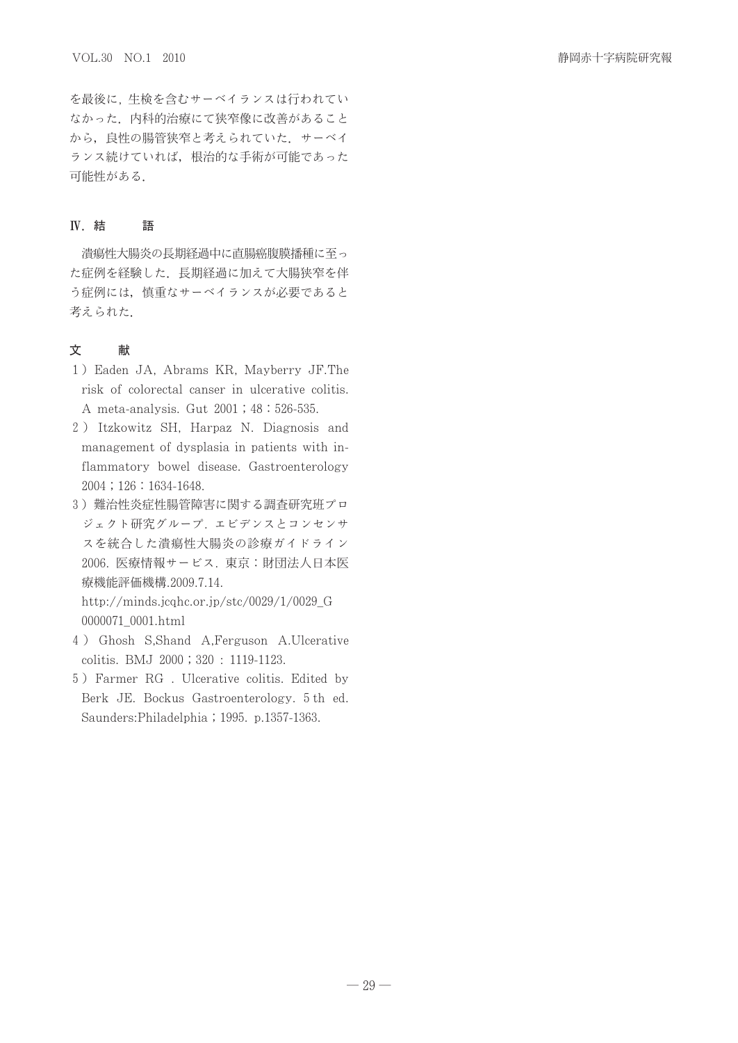を最後に、生検を含むサーベイランスは行われてい なかった、内科的治療にて狭窄像に改善があること から、良性の腸管狭窄と考えられていた。サーベイ ランス続けていれば、根治的な手術が可能であった 可能性がある.

#### **IV.** 結 語

潰瘍性大腸炎の長期経過中に直腸癌腹膜播種に至っ た症例を経験した。長期経過に加えて大腸狭窄を伴 う症例には、慎重なサーベイランスが必要であると 考えられた.

#### 文 献

- 1) Eaden JA, Abrams KR, Mayberry JF.The risk of colorectal canser in ulcerative colitis. A meta-analysis. Gut 2001; 48:526-535.
- 2) Itzkowitz SH, Harpaz N. Diagnosis and management of dysplasia in patients with inflammatory bowel disease. Gastroenterology  $2004$ ;  $126$ :  $1634-1648$ .
- 3) 難治性炎症性腸管障害に関する調査研究班プロ ジェクト研究グループ. エビデンスとコンセンサ スを統合した潰瘍性大腸炎の診療ガイドライン 2006. 医療情報サービス. 東京: 財団法人日本医 療機能評価機構.2009.7.14. http://minds.jcqhc.or.jp/stc/0029/1/0029\_G

0000071\_0001.html

- 4) Ghosh S,Shand A,Ferguson A.Ulcerative colitis. BMJ 2000; 320: 1119-1123.
- 5) Farmer RG. Ulcerative colitis. Edited by Berk JE. Bockus Gastroenterology. 5th ed. Saunders: Philadelphia ; 1995. p.1357-1363.